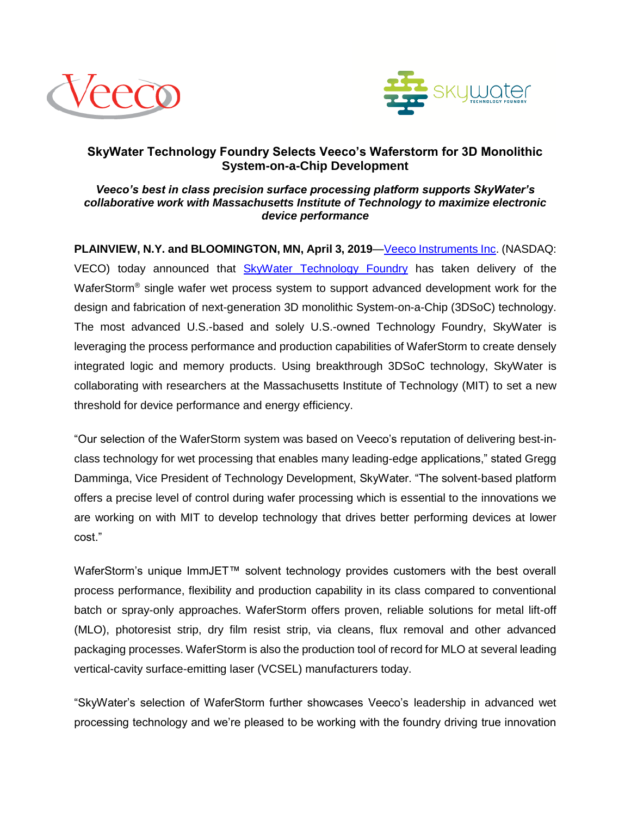



## **SkyWater Technology Foundry Selects Veeco's Waferstorm for 3D Monolithic System-on-a-Chip Development**

## *Veeco's best in class precision surface processing platform supports SkyWater's collaborative work with Massachusetts Institute of Technology to maximize electronic device performance*

**PLAINVIEW, N.Y. and BLOOMINGTON, MN, April 3, 2019**[—Veeco Instruments Inc.](http://www.veeco.com/) (NASDAQ: VECO) today announced that [SkyWater Technology Foundry](http://www.skywatertechnology.com/) has taken delivery of the WaferStorm<sup>®</sup> single wafer wet process system to support advanced development work for the design and fabrication of next-generation 3D monolithic System-on-a-Chip (3DSoC) technology. The most advanced U.S.-based and solely U.S.-owned Technology Foundry, SkyWater is leveraging the process performance and production capabilities of WaferStorm to create densely integrated logic and memory products. Using breakthrough 3DSoC technology, SkyWater is collaborating with researchers at the Massachusetts Institute of Technology (MIT) to set a new threshold for device performance and energy efficiency.

"Our selection of the WaferStorm system was based on Veeco's reputation of delivering best-inclass technology for wet processing that enables many leading-edge applications," stated Gregg Damminga, Vice President of Technology Development, SkyWater. "The solvent-based platform offers a precise level of control during wafer processing which is essential to the innovations we are working on with MIT to develop technology that drives better performing devices at lower cost."

WaferStorm's unique ImmJET™ solvent technology provides customers with the best overall process performance, flexibility and production capability in its class compared to conventional batch or spray-only approaches. WaferStorm offers proven, reliable solutions for metal lift-off (MLO), photoresist strip, dry film resist strip, via cleans, flux removal and other advanced packaging processes. WaferStorm is also the production tool of record for MLO at several leading vertical-cavity surface-emitting laser (VCSEL) manufacturers today.

"SkyWater's selection of WaferStorm further showcases Veeco's leadership in advanced wet processing technology and we're pleased to be working with the foundry driving true innovation